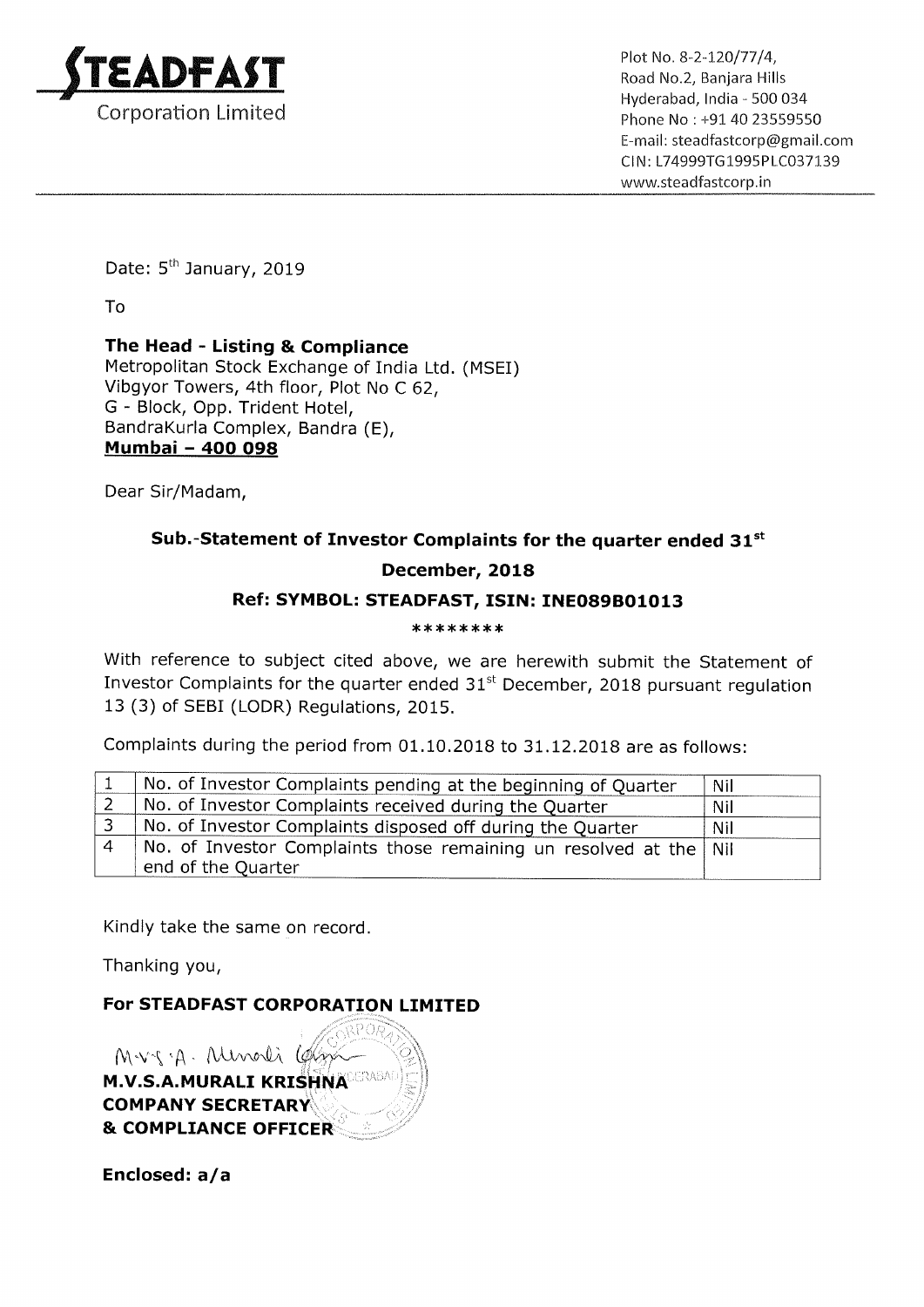

Hyderabad, India - 500 034 Email: steadfastcorp@gmai|.com Cl N: L74999TG 1995PLC037139 www.5teadfastcorp.in

Date: 5<sup>th</sup> January, 2019

To

## The Head - Listing & Compliance Metropolitan Stock Exchange of India Ltd. (MSEI) Vibgyor Towers, 4th floor, Plot No <sup>C</sup> 62, G - Block, Opp. Trident Hotel, BandraKurla Complex, Bandra (E), Mumbai — 400 098

Dear Sir/Madam,

## Sub.-Statement of Investor Complaints for the quarter ended  $31^{st}$ December, 2018 Ref: SYMBOL: STEADFAST, ISIN: INE089B01013

## \*\*\*\*\*\*\*\*

With reference to subject cited above, we are herewith submit the Statement of Investor Complaints for the quarter ended  $31<sup>st</sup>$  December, 2018 pursuant regulation 13 (3) of SEBI (LODR) Regulations, 2015.

Complaints during the period from 01.10.2018 to 31.12.2018 are as follows:

|   | No. of Investor Complaints pending at the beginning of Quarter      | Nil        |
|---|---------------------------------------------------------------------|------------|
|   | No. of Investor Complaints received during the Quarter              | Nil        |
| ર | No. of Investor Complaints disposed off during the Quarter          | <b>Nil</b> |
|   | No. of Investor Complaints those remaining un resolved at the   Nil |            |
|   | end of the Quarter                                                  |            |

Kindly take the same on record.

Thanking you,

For STEADFAST CORPORATION LIMITED

Mvs.A. Munoli (glg w-M.V.S.A.MURALI KRISHNA COMPANY SECRETARY **& COMPLIANCE OFFICER** 

Enclosed: a/a